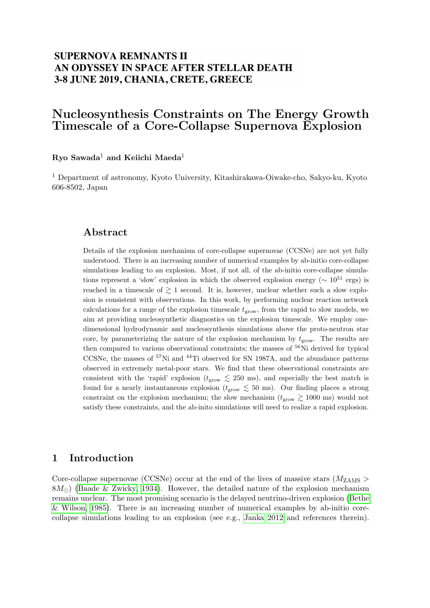# **SUPERNOVA REMNANTS II** AN ODYSSEY IN SPACE AFTER STELLAR DEATH 3-8 JUNE 2019, CHANIA, CRETE, GREECE

# Nucleosynthesis Constraints on The Energy Growth Timescale of a Core-Collapse Supernova Explosion

### Ryo Sawada<sup>1</sup> and Keiichi Maeda<sup>1</sup>

<sup>1</sup> Department of astronomy, Kyoto University, Kitashirakawa-Oiwake-cho, Sakyo-ku, Kyoto 606-8502, Japan

#### Abstract

Details of the explosion mechanism of core-collapse supernovae (CCSNe) are not yet fully understood. There is an increasing number of numerical examples by ab-initio core-collapse simulations leading to an explosion. Most, if not all, of the ab-initio core-collapse simulations represent a 'slow' explosion in which the observed explosion energy ( $\sim 10^{51}$  ergs) is reached in a timescale of  $\geq 1$  second. It is, however, unclear whether such a slow explosion is consistent with observations. In this work, by performing nuclear reaction network calculations for a range of the explosion timescale  $t_{\text{grow}}$ , from the rapid to slow models, we aim at providing nucleosynthetic diagnostics on the explosion timescale. We employ onedimensional hydrodynamic and nucleosynthesis simulations above the proto-neutron star core, by parameterizing the nature of the explosion mechanism by  $t_{\text{grow}}$ . The results are then compared to various observational constraints; the masses of <sup>56</sup>Ni derived for typical CCSNe, the masses of <sup>57</sup>Ni and <sup>44</sup>Ti observed for SN 1987A, and the abundance patterns observed in extremely metal-poor stars. We find that these observational constraints are consistent with the 'rapid' explosion ( $t_{\rm grow} \le 250$  ms), and especially the best match is found for a nearly instantaneous explosion ( $t_{\rm grow} \lesssim 50$  ms). Our finding places a strong constraint on the explosion mechanism; the slow mechanism ( $t_{\rm grow} \gtrsim 1000$  ms) would not satisfy these constraints, and the ab-inito simulations will need to realize a rapid explosion.

## 1 Introduction

Core-collapse supernovae (CCSNe) occur at the end of the lives of massive stars ( $M_{ZAMS}$ )  $8M_{\odot}$ ) [\(Baade & Zwicky, 1934\)](#page-4-0). However, the detailed nature of the explosion mechanism remains unclear. The most promising scenario is the delayed neutrino-driven explosion [\(Bethe](#page-5-0) [& Wilson, 1985\)](#page-5-0). There is an increasing number of numerical examples by ab-initio corecollapse simulations leading to an explosion (see e.g., [Janka 2012](#page-5-1) and references therein).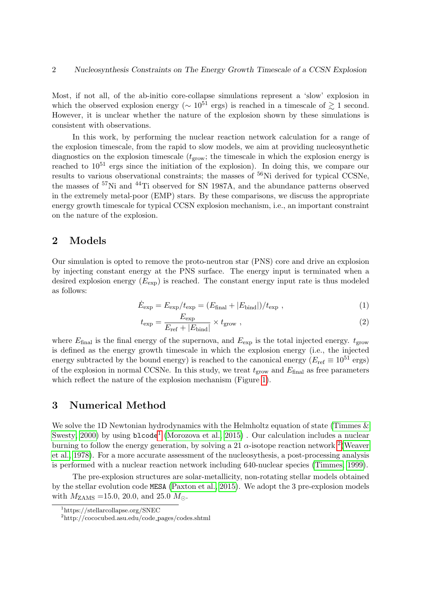Most, if not all, of the ab-initio core-collapse simulations represent a 'slow' explosion in which the observed explosion energy ( $\sim 10^{51}$  ergs) is reached in a timescale of  $\gtrsim 1$  second. However, it is unclear whether the nature of the explosion shown by these simulations is consistent with observations.

In this work, by performing the nuclear reaction network calculation for a range of the explosion timescale, from the rapid to slow models, we aim at providing nucleosynthetic diagnostics on the explosion timescale  $(t_{\text{grow}};$  the timescale in which the explosion energy is reached to  $10^{51}$  ergs since the initiation of the explosion). In doing this, we compare our results to various observational constraints; the masses of  $56Ni$  derived for typical CCSNe, the masses of <sup>57</sup>Ni and <sup>44</sup>Ti observed for SN 1987A, and the abundance patterns observed in the extremely metal-poor (EMP) stars. By these comparisons, we discuss the appropriate energy growth timescale for typical CCSN explosion mechanism, i.e., an important constraint on the nature of the explosion.

### 2 Models

Our simulation is opted to remove the proto-neutron star (PNS) core and drive an explosion by injecting constant energy at the PNS surface. The energy input is terminated when a desired explosion energy  $(E_{\text{exp}})$  is reached. The constant energy input rate is thus modeled as follows:

$$
\dot{E}_{\rm exp} = E_{\rm exp}/t_{\rm exp} = (E_{\rm final} + |E_{\rm bind}|)/t_{\rm exp} , \qquad (1)
$$

$$
t_{\exp} = \frac{E_{\exp}}{E_{\text{ref}} + |E_{\text{bind}}|} \times t_{\text{grow}} , \qquad (2)
$$

where  $E_{\text{final}}$  is the final energy of the supernova, and  $E_{\text{exp}}$  is the total injected energy.  $t_{\text{grow}}$ is defined as the energy growth timescale in which the explosion energy (i.e., the injected energy subtracted by the bound energy) is reached to the canonical energy ( $E_{\text{ref}} \equiv 10^{51} \text{ ergs}$ ) of the explosion in normal CCSNe. In this study, we treat  $t_{\text{grow}}$  and  $E_{\text{final}}$  as free parameters which reflect the nature of the explosion mechanism (Figure [1\)](#page-2-0).

## 3 Numerical Method

We solve the 1D Newtonian hydrodynamics with the Helmholtz equation of state [\(Timmes &](#page-5-2) [Swesty, 2000\)](#page-5-2) by using  $blcode^{1}$  $blcode^{1}$  $blcode^{1}$  [\(Morozova et al., 2015\)](#page-5-3). Our calculation includes a nuclear burning to follow the energy generation, by solving a [2](#page-1-1)1  $\alpha$ -isotope reaction network <sup>2</sup> [\(Weaver](#page-5-4) [et al., 1978\)](#page-5-4). For a more accurate assessment of the nucleosythesis, a post-processing analysis is performed with a nuclear reaction network including 640-nuclear species [\(Timmes, 1999\)](#page-5-5).

The pre-explosion structures are solar-metallicity, non-rotating stellar models obtained by the stellar evolution code MESA [\(Paxton et al., 2015\)](#page-5-6). We adopt the 3 pre-explosion models with  $M_{\rm ZAMS}$  =15.0, 20.0, and 25.0  $M_{\odot}$ .

<span id="page-1-0"></span><sup>1</sup>https://stellarcollapse.org/SNEC

<span id="page-1-1"></span><sup>2</sup>http://cococubed.asu.edu/code pages/codes.shtml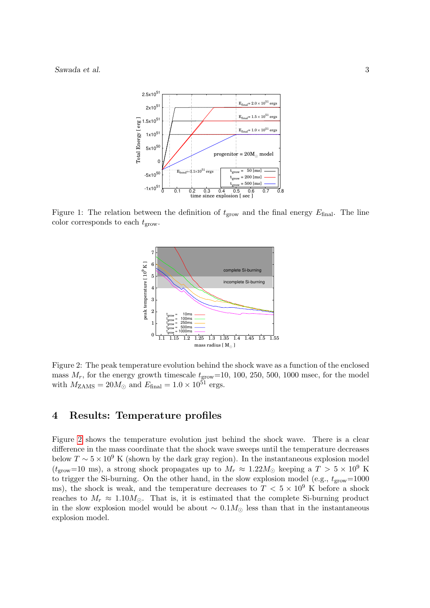

<span id="page-2-0"></span>Figure 1: The relation between the definition of  $t_{\text{grow}}$  and the final energy  $E_{\text{final}}$ . The line color corresponds to each  $t_{\text{grow}}$ .



<span id="page-2-1"></span>Figure 2: The peak temperature evolution behind the shock wave as a function of the enclosed mass  $M_r$ , for the energy growth timescale  $t_{\text{grow}}=10, 100, 250, 500, 1000$  msec, for the model with  $M_{\text{ZAMS}} = 20 M_{\odot}$  and  $E_{\text{final}} = 1.0 \times 10^{51}$  ergs.

### 4 Results: Temperature profiles

Figure [2](#page-2-1) shows the temperature evolution just behind the shock wave. There is a clear difference in the mass coordinate that the shock wave sweeps until the temperature decreases below  $T \sim 5 \times 10^9$  K (shown by the dark gray region). In the instantaneous explosion model ( $t_{\rm grow}=10$  ms), a strong shock propagates up to  $M_r \approx 1.22 M_{\odot}$  keeping a  $T > 5 \times 10^9$  K to trigger the Si-burning. On the other hand, in the slow explosion model (e.g.,  $t_{\text{grow}}=1000$ ms), the shock is weak, and the temperature decreases to  $T < 5 \times 10^9$  K before a shock reaches to  $M_r \approx 1.10 M_\odot$ . That is, it is estimated that the complete Si-burning product in the slow explosion model would be about  $\sim 0.1 M_{\odot}$  less than that in the instantaneous explosion model.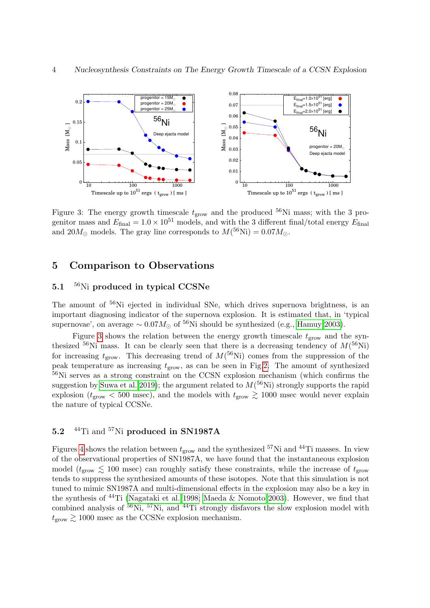

<span id="page-3-0"></span>Figure 3: The energy growth timescale  $t_{\text{grow}}$  and the produced  $^{56}\text{Ni}$  mass; with the 3 progenitor mass and  $E_{\text{final}} = 1.0 \times 10^{51}$  models, and with the 3 different final/total energy  $E_{\text{final}}$ and  $20M_{\odot}$  models. The gray line corresponds to  $M(^{56}\mathrm{Ni}) = 0.07M_{\odot}$ .

### 5 Comparison to Observations

#### 5.1 <sup>56</sup>Ni produced in typical CCSNe

The amount of <sup>56</sup>Ni ejected in individual SNe, which drives supernova brightness, is an important diagnosing indicator of the supernova explosion. It is estimated that, in 'typical supernovae', on average  $\sim 0.07 M_{\odot}$  of <sup>56</sup>Ni should be synthesized (e.g., [Hamuy 2003\)](#page-5-7).

Figure [3](#page-3-0) shows the relation between the energy growth timescale  $t_{\text{grow}}$  and the synthesized <sup>56</sup>Ni mass. It can be clearly seen that there is a decreasing tendency of  $M(^{56}Ni)$ for increasing  $t_{\rm grow}$ . This decreasing trend of  $M<sup>(56</sup>Ni)$  comes from the suppression of the peak temperature as increasing  $t_{\text{grow}}$ , as can be seen in Fig[.2.](#page-2-1) The amount of synthesized <sup>56</sup>Ni serves as a strong constraint on the CCSN explosion mechanism (which confirms the suggestion by [Suwa et al. 2019\)](#page-5-8); the argument related to  $M<sup>(56</sup>Ni)$  strongly supports the rapid explosion ( $t_{\rm grow}$  < 500 msec), and the models with  $t_{\rm grow} \gtrsim 1000$  msec would never explain the nature of typical CCSNe.

## 5.2 <sup>44</sup>Ti and <sup>57</sup>Ni produced in SN1987A

Figures [4](#page-4-1) shows the relation between  $t_{\text{grow}}$  and the synthesized <sup>57</sup>Ni and <sup>44</sup>Ti masses. In view of the observational properties of SN1987A, we have found that the instantaneous explosion model ( $t_{\text{grow}} \lesssim 100$  msec) can roughly satisfy these constraints, while the increase of  $t_{\text{grow}}$ tends to suppress the synthesized amounts of these isotopes. Note that this simulation is not tuned to mimic SN1987A and multi-dimensional effects in the explosion may also be a key in the synthesis of  $^{44}$ Ti [\(Nagataki et al. 1998;](#page-5-9) [Maeda & Nomoto 2003\)](#page-5-10). However, we find that combined analysis of  ${}^{56}$ Ni,  ${}^{57}$ Ni, and  ${}^{44}$ Ti strongly disfavors the slow explosion model with  $t_{\text{grow}} \geq 1000$  msec as the CCSNe explosion mechanism.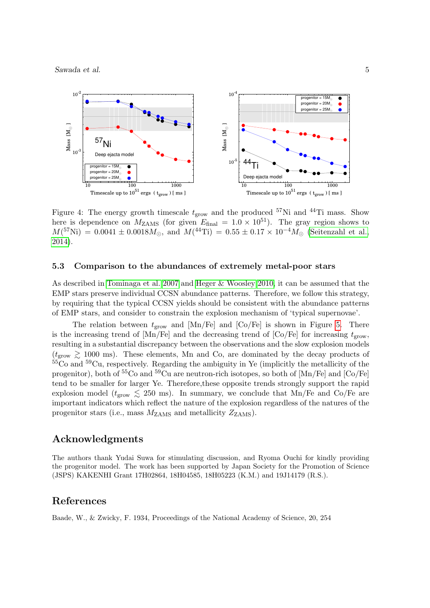Sawada et al. 5



<span id="page-4-1"></span>Figure 4: The energy growth timescale  $t_{\rm grow}$  and the produced <sup>57</sup>Ni and <sup>44</sup>Ti mass. Show here is dependence on  $M_{\text{ZAMS}}$  (for given  $E_{\text{final}} = 1.0 \times 10^{51}$ ). The gray region shows to  $M(^{57}\text{Ni}) = 0.0041 \pm 0.0018 M_{\odot}$ , and  $M(^{44}\text{Ti}) = 0.55 \pm 0.17 \times 10^{-4} M_{\odot}$  [\(Seitenzahl et al.,](#page-5-11) [2014\)](#page-5-11).

#### 5.3 Comparison to the abundances of extremely metal-poor stars

As described in [Tominaga et al. 2007](#page-5-12) and [Heger & Woosley 2010,](#page-5-13) it can be assumed that the EMP stars preserve individual CCSN abundance patterns. Therefore, we follow this strategy, by requiring that the typical CCSN yields should be consistent with the abundance patterns of EMP stars, and consider to constrain the explosion mechanism of 'typical supernovae'.

The relation between  $t_{\text{grow}}$  and  $\text{[Mn/Fe]}$  and  $\text{[Co/Fe]}$  is shown in Figure [5.](#page-5-14) There is the increasing trend of  $[Mn/Fe]$  and the decreasing trend of  $[Co/Fe]$  for increasing  $t_{\text{grow}}$ , resulting in a substantial discrepancy between the observations and the slow explosion models  $(t_{\rm grow} \ge 1000 \text{ ms})$ . These elements, Mn and Co, are dominated by the decay products of  ${}^{55}Co$  and  ${}^{59}Cu$ , respectively. Regarding the ambiguity in Ye (implicitly the metallicity of the progenitor), both of  ${}^{55}Co$  and  ${}^{59}Cu$  are neutron-rich isotopes, so both of  $[Mn/Fe]$  and  $[Co/Fe]$ tend to be smaller for larger Ye. Therefore,these opposite trends strongly support the rapid explosion model ( $t_{\rm grow} \leq 250$  ms). In summary, we conclude that Mn/Fe and Co/Fe are important indicators which reflect the nature of the explosion regardless of the natures of the progenitor stars (i.e., mass  $M_{\text{ZAMS}}$  and metallicity  $Z_{\text{ZAMS}}$ ).

#### Acknowledgments

The authors thank Yudai Suwa for stimulating discussion, and Ryoma Ouchi for kindly providing the progenitor model. The work has been supported by Japan Society for the Promotion of Science (JSPS) KAKENHI Grant 17H02864, 18H04585, 18H05223 (K.M.) and 19J14179 (R.S.).

#### References

<span id="page-4-0"></span>Baade, W., & Zwicky, F. 1934, Proceedings of the National Academy of Science, 20, 254